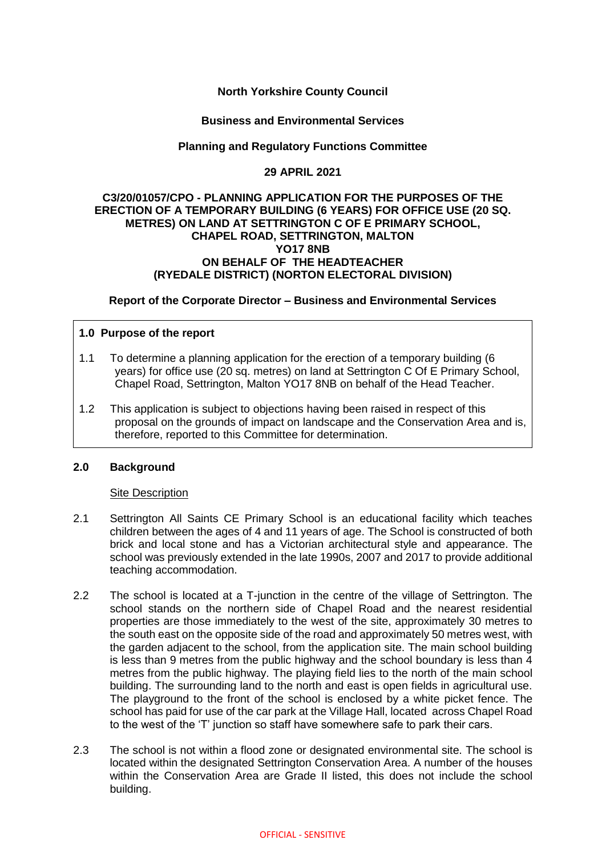# **North Yorkshire County Council**

### **Business and Environmental Services**

# **Planning and Regulatory Functions Committee**

## **29 APRIL 2021**

#### **C3/20/01057/CPO - PLANNING APPLICATION FOR THE PURPOSES OF THE ERECTION OF A TEMPORARY BUILDING (6 YEARS) FOR OFFICE USE (20 SQ. METRES) ON LAND AT SETTRINGTON C OF E PRIMARY SCHOOL, CHAPEL ROAD, SETTRINGTON, MALTON YO17 8NB ON BEHALF OF THE HEADTEACHER (RYEDALE DISTRICT) (NORTON ELECTORAL DIVISION)**

### **Report of the Corporate Director – Business and Environmental Services**

### **1.0 Purpose of the report**

- 1.1 To determine a planning application for the erection of a temporary building (6 years) for office use (20 sq. metres) on land at Settrington C Of E Primary School, Chapel Road, Settrington, Malton YO17 8NB on behalf of the Head Teacher.
- 1.2 This application is subject to objections having been raised in respect of this proposal on the grounds of impact on landscape and the Conservation Area and is, therefore, reported to this Committee for determination.

### **2.0 Background**

#### Site Description

- 2.1 Settrington All Saints CE Primary School is an educational facility which teaches children between the ages of 4 and 11 years of age. The School is constructed of both brick and local stone and has a Victorian architectural style and appearance. The school was previously extended in the late 1990s, 2007 and 2017 to provide additional teaching accommodation.
- 2.2 The school is located at a T-junction in the centre of the village of Settrington. The school stands on the northern side of Chapel Road and the nearest residential properties are those immediately to the west of the site, approximately 30 metres to the south east on the opposite side of the road and approximately 50 metres west, with the garden adjacent to the school, from the application site. The main school building is less than 9 metres from the public highway and the school boundary is less than 4 metres from the public highway. The playing field lies to the north of the main school building. The surrounding land to the north and east is open fields in agricultural use. The playground to the front of the school is enclosed by a white picket fence. The school has paid for use of the car park at the Village Hall, located across Chapel Road to the west of the 'T' junction so staff have somewhere safe to park their cars.
- 2.3 The school is not within a flood zone or designated environmental site. The school is located within the designated Settrington Conservation Area. A number of the houses within the Conservation Area are Grade II listed, this does not include the school building.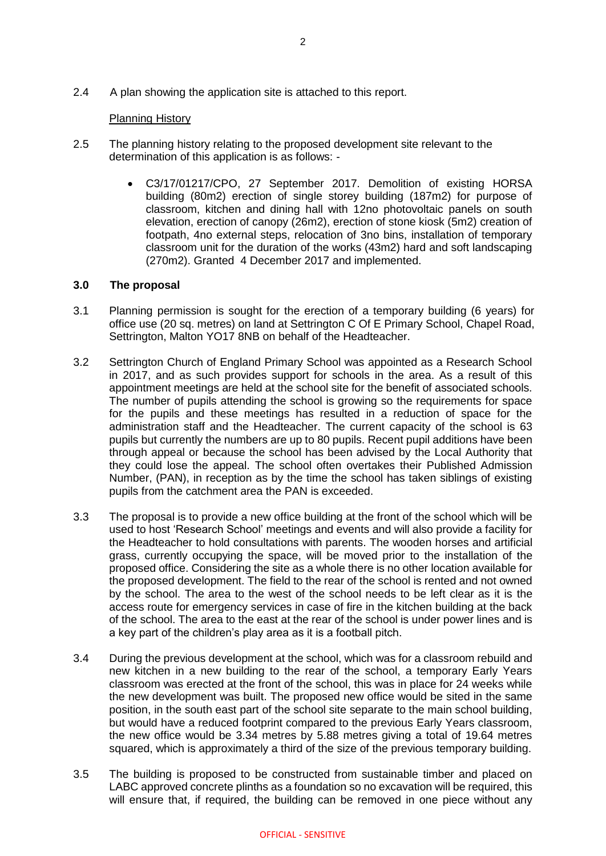2.4 A plan showing the application site is attached to this report.

### Planning History

- 2.5 The planning history relating to the proposed development site relevant to the determination of this application is as follows: -
	- C3/17/01217/CPO, 27 September 2017. Demolition of existing HORSA building (80m2) erection of single storey building (187m2) for purpose of classroom, kitchen and dining hall with 12no photovoltaic panels on south elevation, erection of canopy (26m2), erection of stone kiosk (5m2) creation of footpath, 4no external steps, relocation of 3no bins, installation of temporary classroom unit for the duration of the works (43m2) hard and soft landscaping (270m2). Granted 4 December 2017 and implemented.

### **3.0 The proposal**

- 3.1 Planning permission is sought for the erection of a temporary building (6 years) for office use (20 sq. metres) on land at Settrington C Of E Primary School, Chapel Road, Settrington, Malton YO17 8NB on behalf of the Headteacher.
- 3.2 Settrington Church of England Primary School was appointed as a Research School in 2017, and as such provides support for schools in the area. As a result of this appointment meetings are held at the school site for the benefit of associated schools. The number of pupils attending the school is growing so the requirements for space for the pupils and these meetings has resulted in a reduction of space for the administration staff and the Headteacher. The current capacity of the school is 63 pupils but currently the numbers are up to 80 pupils. Recent pupil additions have been through appeal or because the school has been advised by the Local Authority that they could lose the appeal. The school often overtakes their Published Admission Number, (PAN), in reception as by the time the school has taken siblings of existing pupils from the catchment area the PAN is exceeded.
- 3.3 The proposal is to provide a new office building at the front of the school which will be used to host 'Research School' meetings and events and will also provide a facility for the Headteacher to hold consultations with parents. The wooden horses and artificial grass, currently occupying the space, will be moved prior to the installation of the proposed office. Considering the site as a whole there is no other location available for the proposed development. The field to the rear of the school is rented and not owned by the school. The area to the west of the school needs to be left clear as it is the access route for emergency services in case of fire in the kitchen building at the back of the school. The area to the east at the rear of the school is under power lines and is a key part of the children's play area as it is a football pitch.
- 3.4 During the previous development at the school, which was for a classroom rebuild and new kitchen in a new building to the rear of the school, a temporary Early Years classroom was erected at the front of the school, this was in place for 24 weeks while the new development was built. The proposed new office would be sited in the same position, in the south east part of the school site separate to the main school building, but would have a reduced footprint compared to the previous Early Years classroom, the new office would be 3.34 metres by 5.88 metres giving a total of 19.64 metres squared, which is approximately a third of the size of the previous temporary building.
- 3.5 The building is proposed to be constructed from sustainable timber and placed on LABC approved concrete plinths as a foundation so no excavation will be required, this will ensure that, if required, the building can be removed in one piece without any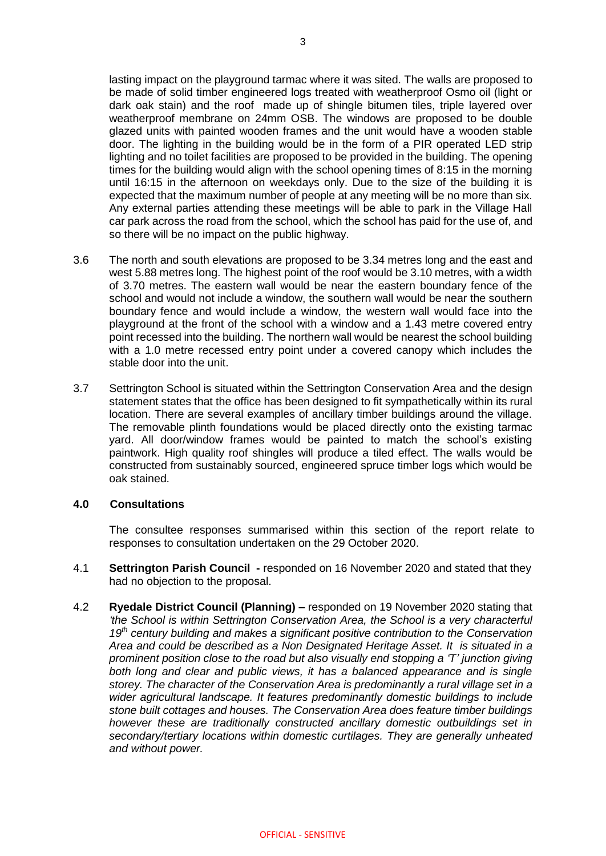lasting impact on the playground tarmac where it was sited. The walls are proposed to be made of solid timber engineered logs treated with weatherproof Osmo oil (light or dark oak stain) and the roof made up of shingle bitumen tiles, triple layered over weatherproof membrane on 24mm OSB. The windows are proposed to be double glazed units with painted wooden frames and the unit would have a wooden stable door. The lighting in the building would be in the form of a PIR operated LED strip lighting and no toilet facilities are proposed to be provided in the building. The opening times for the building would align with the school opening times of 8:15 in the morning until 16:15 in the afternoon on weekdays only. Due to the size of the building it is expected that the maximum number of people at any meeting will be no more than six. Any external parties attending these meetings will be able to park in the Village Hall car park across the road from the school, which the school has paid for the use of, and so there will be no impact on the public highway.

- 3.6 The north and south elevations are proposed to be 3.34 metres long and the east and west 5.88 metres long. The highest point of the roof would be 3.10 metres, with a width of 3.70 metres. The eastern wall would be near the eastern boundary fence of the school and would not include a window, the southern wall would be near the southern boundary fence and would include a window, the western wall would face into the playground at the front of the school with a window and a 1.43 metre covered entry point recessed into the building. The northern wall would be nearest the school building with a 1.0 metre recessed entry point under a covered canopy which includes the stable door into the unit.
- 3.7 Settrington School is situated within the Settrington Conservation Area and the design statement states that the office has been designed to fit sympathetically within its rural location. There are several examples of ancillary timber buildings around the village. The removable plinth foundations would be placed directly onto the existing tarmac yard. All door/window frames would be painted to match the school's existing paintwork. High quality roof shingles will produce a tiled effect. The walls would be constructed from sustainably sourced, engineered spruce timber logs which would be oak stained.

#### **4.0 Consultations**

The consultee responses summarised within this section of the report relate to responses to consultation undertaken on the 29 October 2020.

- 4.1 **Settrington Parish Council -** responded on 16 November 2020 and stated that they had no objection to the proposal.
- 4.2 **Ryedale District Council (Planning) –** responded on 19 November 2020 stating that *'the School is within Settrington Conservation Area, the School is a very characterful 19th century building and makes a significant positive contribution to the Conservation Area and could be described as a Non Designated Heritage Asset. It is situated in a prominent position close to the road but also visually end stopping a 'T' junction giving both long and clear and public views, it has a balanced appearance and is single storey. The character of the Conservation Area is predominantly a rural village set in a wider agricultural landscape. It features predominantly domestic buildings to include stone built cottages and houses. The Conservation Area does feature timber buildings however these are traditionally constructed ancillary domestic outbuildings set in secondary/tertiary locations within domestic curtilages. They are generally unheated and without power.*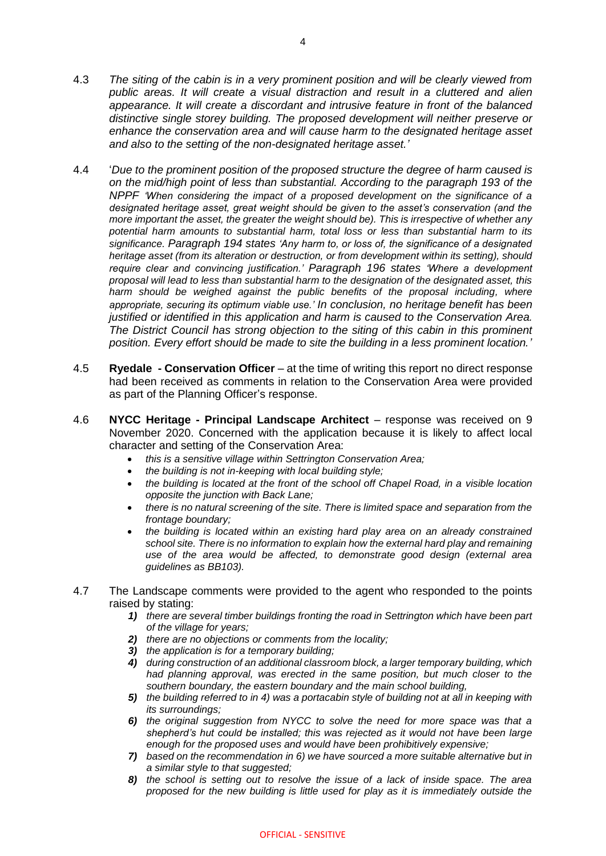- 4.3 *The siting of the cabin is in a very prominent position and will be clearly viewed from public areas. It will create a visual distraction and result in a cluttered and alien appearance. It will create a discordant and intrusive feature in front of the balanced distinctive single storey building. The proposed development will neither preserve or enhance the conservation area and will cause harm to the designated heritage asset and also to the setting of the non-designated heritage asset.'*
- 4.4 '*Due to the prominent position of the proposed structure the degree of harm caused is on the mid/high point of less than substantial. According to the paragraph 193 of the NPPF 'When considering the impact of a proposed development on the significance of a designated heritage asset, great weight should be given to the asset's conservation (and the more important the asset, the greater the weight should be). This is irrespective of whether any potential harm amounts to substantial harm, total loss or less than substantial harm to its significance. Paragraph 194 states 'Any harm to, or loss of, the significance of a designated heritage asset (from its alteration or destruction, or from development within its setting), should require clear and convincing justification.' Paragraph 196 states 'Where a development proposal will lead to less than substantial harm to the designation of the designated asset, this*  harm should be weighed against the public benefits of the proposal including, where *appropriate, securing its optimum viable use.' In conclusion, no heritage benefit has been justified or identified in this application and harm is caused to the Conservation Area. The District Council has strong objection to the siting of this cabin in this prominent position. Every effort should be made to site the building in a less prominent location.'*
- 4.5 **Ryedale - Conservation Officer** at the time of writing this report no direct response had been received as comments in relation to the Conservation Area were provided as part of the Planning Officer's response.
- 4.6 **NYCC Heritage - Principal Landscape Architect** response was received on 9 November 2020. Concerned with the application because it is likely to affect local character and setting of the Conservation Area:
	- *this is a sensitive village within Settrington Conservation Area;*
	- *the building is not in-keeping with local building style;*
	- *the building is located at the front of the school off Chapel Road, in a visible location opposite the junction with Back Lane;*
	- *there is no natural screening of the site. There is limited space and separation from the frontage boundary;*
	- *the building is located within an existing hard play area on an already constrained school site. There is no information to explain how the external hard play and remaining use of the area would be affected, to demonstrate good design (external area guidelines as BB103).*
- 4.7 The Landscape comments were provided to the agent who responded to the points raised by stating:
	- *1) there are several timber buildings fronting the road in Settrington which have been part of the village for years;*
	- *2) there are no objections or comments from the locality;*
	- *3) the application is for a temporary building;*
	- *4) during construction of an additional classroom block, a larger temporary building, which had planning approval, was erected in the same position, but much closer to the southern boundary, the eastern boundary and the main school building,*
	- *5) the building referred to in 4) was a portacabin style of building not at all in keeping with its surroundings;*
	- *6) the original suggestion from NYCC to solve the need for more space was that a shepherd's hut could be installed; this was rejected as it would not have been large enough for the proposed uses and would have been prohibitively expensive;*
	- *7) based on the recommendation in 6) we have sourced a more suitable alternative but in a similar style to that suggested;*
	- *8) the school is setting out to resolve the issue of a lack of inside space. The area proposed for the new building is little used for play as it is immediately outside the*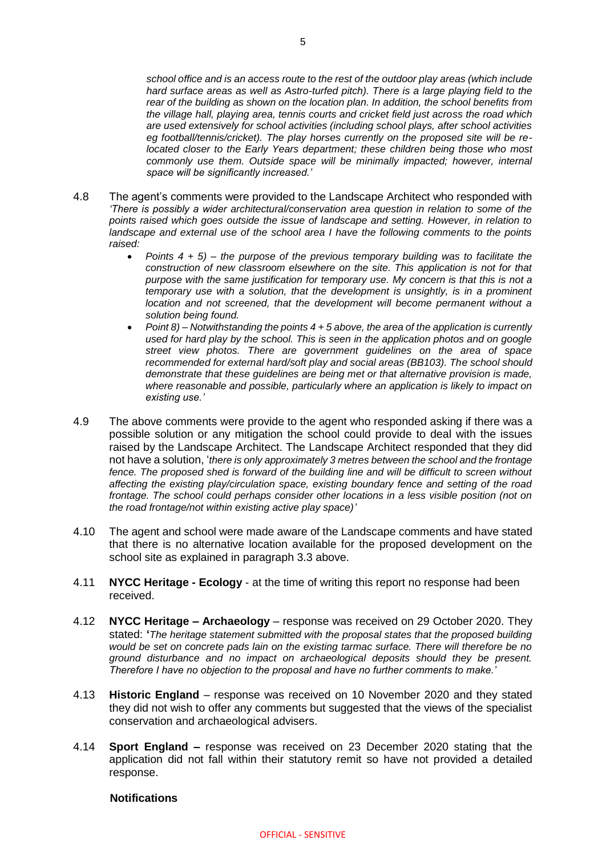*school office and is an access route to the rest of the outdoor play areas (which include hard surface areas as well as Astro-turfed pitch). There is a large playing field to the rear of the building as shown on the location plan. In addition, the school benefits from the village hall, playing area, tennis courts and cricket field just across the road which are used extensively for school activities (including school plays, after school activities eg football/tennis/cricket). The play horses currently on the proposed site will be relocated closer to the Early Years department; these children being those who most commonly use them. Outside space will be minimally impacted; however, internal space will be significantly increased.'*

- 4.8 The agent's comments were provided to the Landscape Architect who responded with *'There is possibly a wider architectural/conservation area question in relation to some of the points raised which goes outside the issue of landscape and setting. However, in relation to landscape and external use of the school area I have the following comments to the points raised:*
	- *Points 4 + 5) – the purpose of the previous temporary building was to facilitate the construction of new classroom elsewhere on the site. This application is not for that purpose with the same justification for temporary use. My concern is that this is not a temporary use with a solution, that the development is unsightly, is in a prominent location and not screened, that the development will become permanent without a solution being found.*
	- *Point 8) – Notwithstanding the points 4 + 5 above, the area of the application is currently used for hard play by the school. This is seen in the application photos and on google street view photos. There are government guidelines on the area of space recommended for external hard/soft play and social areas (BB103). The school should demonstrate that these guidelines are being met or that alternative provision is made, where reasonable and possible, particularly where an application is likely to impact on existing use.'*
- 4.9 The above comments were provide to the agent who responded asking if there was a possible solution or any mitigation the school could provide to deal with the issues raised by the Landscape Architect. The Landscape Architect responded that they did not have a solution, '*there is only approximately 3 metres between the school and the frontage fence. The proposed shed is forward of the building line and will be difficult to screen without affecting the existing play/circulation space, existing boundary fence and setting of the road frontage. The school could perhaps consider other locations in a less visible position (not on the road frontage/not within existing active play space)'*
- 4.10 The agent and school were made aware of the Landscape comments and have stated that there is no alternative location available for the proposed development on the school site as explained in paragraph 3.3 above.
- 4.11 **NYCC Heritage - Ecology**  at the time of writing this report no response had been received.
- 4.12 **NYCC Heritage – Archaeology** response was received on 29 October 2020. They stated: **'***The heritage statement submitted with the proposal states that the proposed building would be set on concrete pads lain on the existing tarmac surface. There will therefore be no ground disturbance and no impact on archaeological deposits should they be present. Therefore I have no objection to the proposal and have no further comments to make.'*
- 4.13 **Historic England** response was received on 10 November 2020 and they stated they did not wish to offer any comments but suggested that the views of the specialist conservation and archaeological advisers.
- 4.14 **Sport England –** response was received on 23 December 2020 stating that the application did not fall within their statutory remit so have not provided a detailed response.

### **Notifications**

#### OFFICIAL - SENSITIVE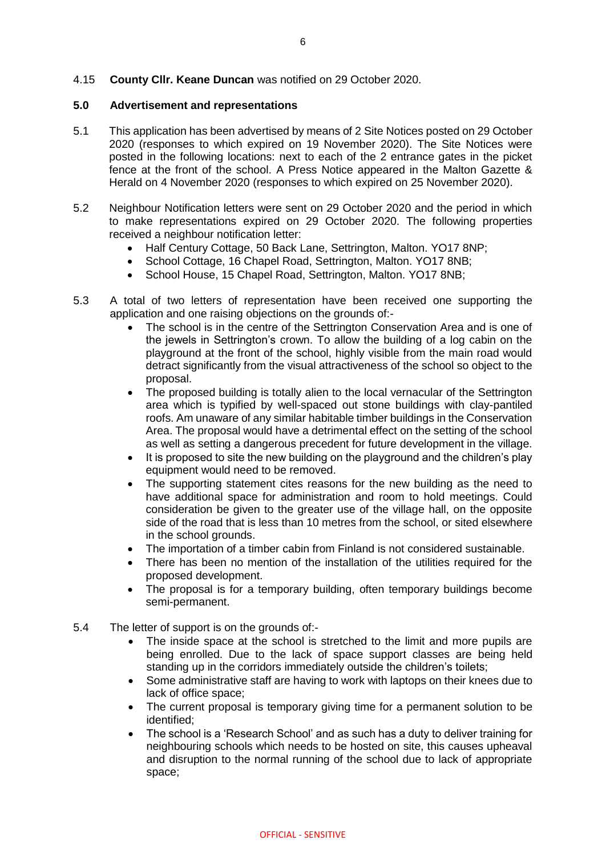### 4.15 **County Cllr. Keane Duncan** was notified on 29 October 2020.

#### **5.0 Advertisement and representations**

- 5.1 This application has been advertised by means of 2 Site Notices posted on 29 October 2020 (responses to which expired on 19 November 2020). The Site Notices were posted in the following locations: next to each of the 2 entrance gates in the picket fence at the front of the school. A Press Notice appeared in the Malton Gazette & Herald on 4 November 2020 (responses to which expired on 25 November 2020).
- 5.2 Neighbour Notification letters were sent on 29 October 2020 and the period in which to make representations expired on 29 October 2020. The following properties received a neighbour notification letter:
	- Half Century Cottage, 50 Back Lane, Settrington, Malton. YO17 8NP;
	- School Cottage, 16 Chapel Road, Settrington, Malton. YO17 8NB;
	- School House, 15 Chapel Road, Settrington, Malton. YO17 8NB;
- 5.3 A total of two letters of representation have been received one supporting the application and one raising objections on the grounds of:-
	- The school is in the centre of the Settrington Conservation Area and is one of the jewels in Settrington's crown. To allow the building of a log cabin on the playground at the front of the school, highly visible from the main road would detract significantly from the visual attractiveness of the school so object to the proposal.
	- The proposed building is totally alien to the local vernacular of the Settrington area which is typified by well-spaced out stone buildings with clay-pantiled roofs. Am unaware of any similar habitable timber buildings in the Conservation Area. The proposal would have a detrimental effect on the setting of the school as well as setting a dangerous precedent for future development in the village.
	- It is proposed to site the new building on the playground and the children's play equipment would need to be removed.
	- The supporting statement cites reasons for the new building as the need to have additional space for administration and room to hold meetings. Could consideration be given to the greater use of the village hall, on the opposite side of the road that is less than 10 metres from the school, or sited elsewhere in the school grounds.
	- The importation of a timber cabin from Finland is not considered sustainable.
	- There has been no mention of the installation of the utilities required for the proposed development.
	- The proposal is for a temporary building, often temporary buildings become semi-permanent.
- 5.4 The letter of support is on the grounds of:-
	- The inside space at the school is stretched to the limit and more pupils are being enrolled. Due to the lack of space support classes are being held standing up in the corridors immediately outside the children's toilets;
	- Some administrative staff are having to work with laptops on their knees due to lack of office space;
	- The current proposal is temporary giving time for a permanent solution to be identified;
	- The school is a 'Research School' and as such has a duty to deliver training for neighbouring schools which needs to be hosted on site, this causes upheaval and disruption to the normal running of the school due to lack of appropriate space;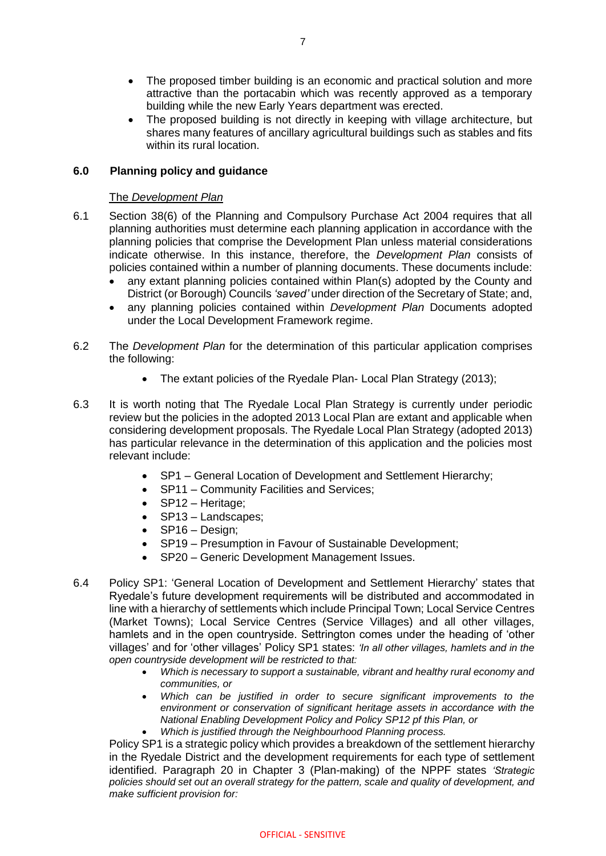- The proposed timber building is an economic and practical solution and more attractive than the portacabin which was recently approved as a temporary building while the new Early Years department was erected.
- The proposed building is not directly in keeping with village architecture, but shares many features of ancillary agricultural buildings such as stables and fits within its rural location.

## **6.0 Planning policy and guidance**

### The *Development Plan*

- 6.1 Section 38(6) of the Planning and Compulsory Purchase Act 2004 requires that all planning authorities must determine each planning application in accordance with the planning policies that comprise the Development Plan unless material considerations indicate otherwise. In this instance, therefore, the *Development Plan* consists of policies contained within a number of planning documents. These documents include:
	- any extant planning policies contained within Plan(s) adopted by the County and District (or Borough) Councils *'saved'* under direction of the Secretary of State; and,
	- any planning policies contained within *Development Plan* Documents adopted under the Local Development Framework regime.
- 6.2 The *Development Plan* for the determination of this particular application comprises the following:
	- The extant policies of the Ryedale Plan- Local Plan Strategy (2013);
- 6.3 It is worth noting that The Ryedale Local Plan Strategy is currently under periodic review but the policies in the adopted 2013 Local Plan are extant and applicable when considering development proposals. The Ryedale Local Plan Strategy (adopted 2013) has particular relevance in the determination of this application and the policies most relevant include:
	- SP1 General Location of Development and Settlement Hierarchy;
	- SP11 Community Facilities and Services;
	- SP12 Heritage;
	- SP13 Landscapes;
	- SP16 Design:
	- SP19 Presumption in Favour of Sustainable Development;
	- SP20 Generic Development Management Issues.
- 6.4 Policy SP1: 'General Location of Development and Settlement Hierarchy' states that Ryedale's future development requirements will be distributed and accommodated in line with a hierarchy of settlements which include Principal Town; Local Service Centres (Market Towns); Local Service Centres (Service Villages) and all other villages, hamlets and in the open countryside. Settrington comes under the heading of 'other villages' and for 'other villages' Policy SP1 states: *'In all other villages, hamlets and in the open countryside development will be restricted to that:*
	- *Which is necessary to support a sustainable, vibrant and healthy rural economy and communities, or*
	- *Which can be justified in order to secure significant improvements to the environment or conservation of significant heritage assets in accordance with the National Enabling Development Policy and Policy SP12 pf this Plan, or*
	- *Which is justified through the Neighbourhood Planning process.*

Policy SP1 is a strategic policy which provides a breakdown of the settlement hierarchy in the Ryedale District and the development requirements for each type of settlement identified. Paragraph 20 in Chapter 3 (Plan-making) of the NPPF states *'Strategic policies should set out an overall strategy for the pattern, scale and quality of development, and make sufficient provision for:*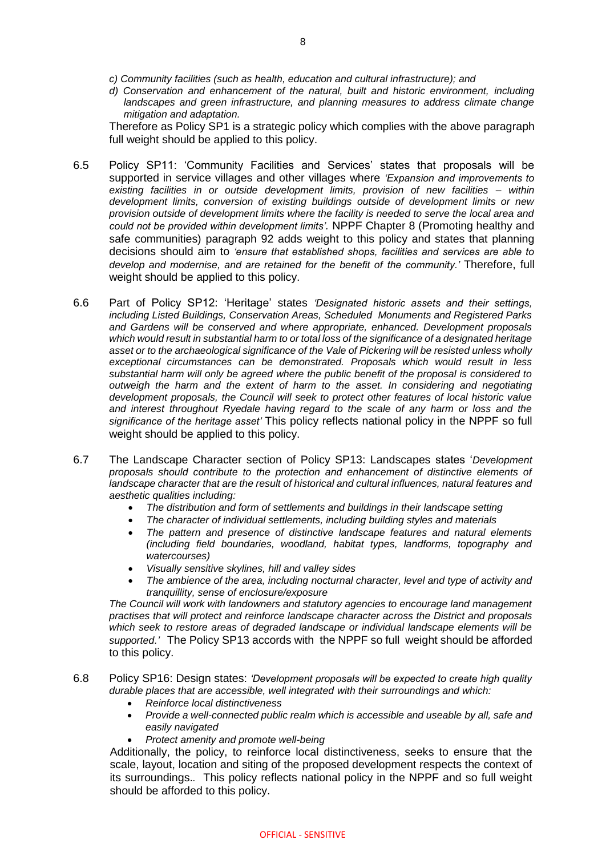*d) Conservation and enhancement of the natural, built and historic environment, including*  landscapes and green infrastructure, and planning measures to address climate change *mitigation and adaptation.*

Therefore as Policy SP1 is a strategic policy which complies with the above paragraph full weight should be applied to this policy.

- 6.5 Policy SP11: 'Community Facilities and Services' states that proposals will be supported in service villages and other villages where *'Expansion and improvements to existing facilities in or outside development limits, provision of new facilities – within development limits, conversion of existing buildings outside of development limits or new provision outside of development limits where the facility is needed to serve the local area and could not be provided within development limits'.* NPPF Chapter 8 (Promoting healthy and safe communities) paragraph 92 adds weight to this policy and states that planning decisions should aim to *'ensure that established shops, facilities and services are able to develop and modernise, and are retained for the benefit of the community.'* Therefore, full weight should be applied to this policy.
- 6.6 Part of Policy SP12: 'Heritage' states *'Designated historic assets and their settings, including Listed Buildings, Conservation Areas, Scheduled Monuments and Registered Parks and Gardens will be conserved and where appropriate, enhanced. Development proposals which would result in substantial harm to or total loss of the significance of a designated heritage asset or to the archaeological significance of the Vale of Pickering will be resisted unless wholly exceptional circumstances can be demonstrated. Proposals which would result in less substantial harm will only be agreed where the public benefit of the proposal is considered to outweigh the harm and the extent of harm to the asset. In considering and negotiating development proposals, the Council will seek to protect other features of local historic value and interest throughout Ryedale having regard to the scale of any harm or loss and the significance of the heritage asset'* This policy reflects national policy in the NPPF so full weight should be applied to this policy.
- 6.7 The Landscape Character section of Policy SP13: Landscapes states '*Development proposals should contribute to the protection and enhancement of distinctive elements of landscape character that are the result of historical and cultural influences, natural features and aesthetic qualities including:* 
	- *The distribution and form of settlements and buildings in their landscape setting*
	- *The character of individual settlements, including building styles and materials*
	- *The pattern and presence of distinctive landscape features and natural elements (including field boundaries, woodland, habitat types, landforms, topography and watercourses)*
	- *Visually sensitive skylines, hill and valley sides*
	- *The ambience of the area, including nocturnal character, level and type of activity and tranquillity, sense of enclosure/exposure*

*The Council will work with landowners and statutory agencies to encourage land management practises that will protect and reinforce landscape character across the District and proposals which seek to restore areas of degraded landscape or individual landscape elements will be supported.'* The Policy SP13 accords with the NPPF so full weight should be afforded to this policy.

- 6.8 Policy SP16: Design states: *'Development proposals will be expected to create high quality durable places that are accessible, well integrated with their surroundings and which:*
	- *Reinforce local distinctiveness*
	- *Provide a well-connected public realm which is accessible and useable by all, safe and easily navigated*
	- *Protect amenity and promote well-being*

Additionally, the policy, to reinforce local distinctiveness, seeks to ensure that the scale, layout, location and siting of the proposed development respects the context of its surroundings.*.* This policy reflects national policy in the NPPF and so full weight should be afforded to this policy.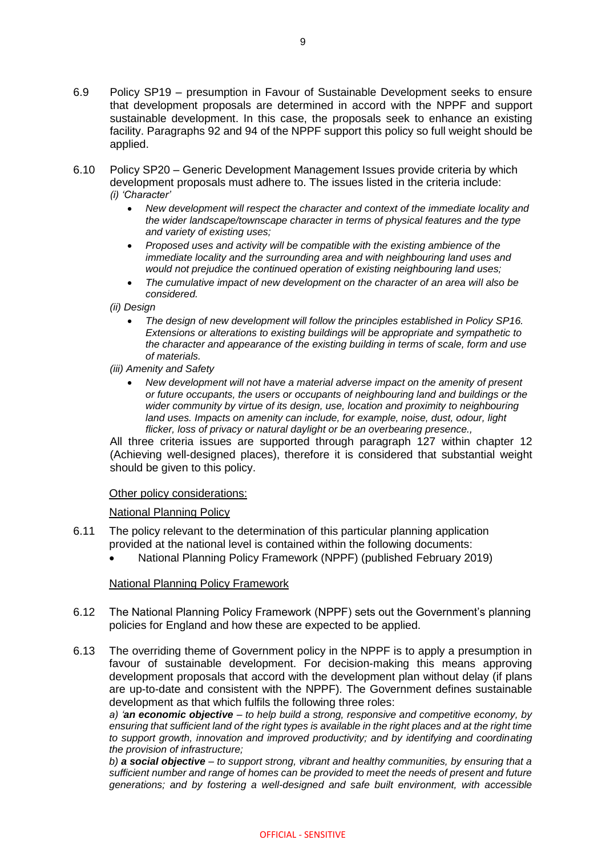- 6.9 Policy SP19 presumption in Favour of Sustainable Development seeks to ensure that development proposals are determined in accord with the NPPF and support sustainable development. In this case, the proposals seek to enhance an existing facility. Paragraphs 92 and 94 of the NPPF support this policy so full weight should be applied.
- 6.10 Policy SP20 Generic Development Management Issues provide criteria by which development proposals must adhere to. The issues listed in the criteria include: *(i) 'Character'* 
	- *New development will respect the character and context of the immediate locality and the wider landscape/townscape character in terms of physical features and the type and variety of existing uses;*
	- *Proposed uses and activity will be compatible with the existing ambience of the immediate locality and the surrounding area and with neighbouring land uses and would not prejudice the continued operation of existing neighbouring land uses;*
	- *The cumulative impact of new development on the character of an area will also be considered.*
	- *(ii) Design* 
		- *The design of new development will follow the principles established in Policy SP16. Extensions or alterations to existing buildings will be appropriate and sympathetic to the character and appearance of the existing building in terms of scale, form and use of materials.*
	- *(iii) Amenity and Safety* 
		- *New development will not have a material adverse impact on the amenity of present or future occupants, the users or occupants of neighbouring land and buildings or the wider community by virtue of its design, use, location and proximity to neighbouring land uses. Impacts on amenity can include, for example, noise, dust, odour, light flicker, loss of privacy or natural daylight or be an overbearing presence.,*

All three criteria issues are supported through paragraph 127 within chapter 12 (Achieving well-designed places), therefore it is considered that substantial weight should be given to this policy.

## Other policy considerations:

National Planning Policy

- 6.11 The policy relevant to the determination of this particular planning application provided at the national level is contained within the following documents:
	- National Planning Policy Framework (NPPF) (published February 2019)

## National Planning Policy Framework

- 6.12 The National Planning Policy Framework (NPPF) sets out the Government's planning policies for England and how these are expected to be applied.
- 6.13 The overriding theme of Government policy in the NPPF is to apply a presumption in favour of sustainable development. For decision-making this means approving development proposals that accord with the development plan without delay (if plans are up-to-date and consistent with the NPPF). The Government defines sustainable development as that which fulfils the following three roles:

*a) 'an economic objective – to help build a strong, responsive and competitive economy, by ensuring that sufficient land of the right types is available in the right places and at the right time to support growth, innovation and improved productivity; and by identifying and coordinating the provision of infrastructure;* 

*b) a social objective – to support strong, vibrant and healthy communities, by ensuring that a sufficient number and range of homes can be provided to meet the needs of present and future generations; and by fostering a well-designed and safe built environment, with accessible*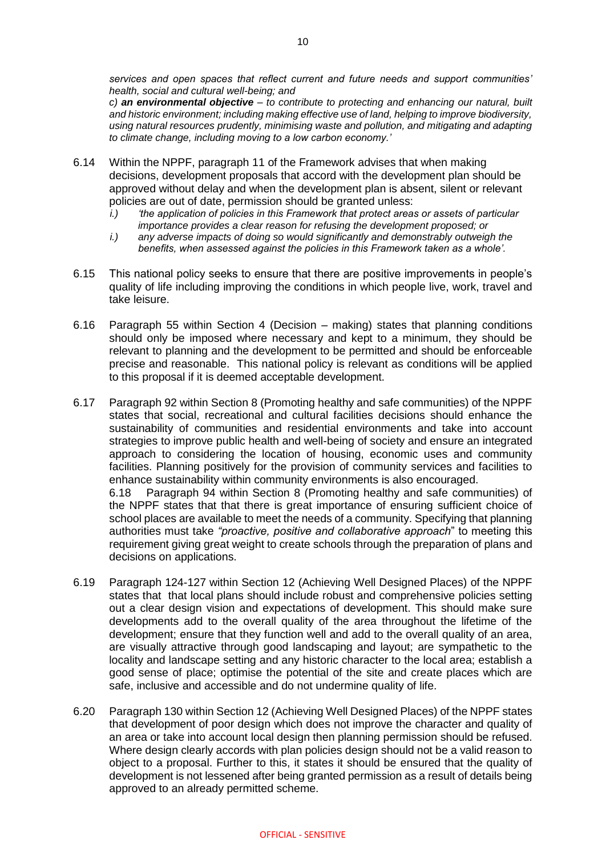*services and open spaces that reflect current and future needs and support communities' health, social and cultural well-being; and* 

*c) an environmental objective – to contribute to protecting and enhancing our natural, built and historic environment; including making effective use of land, helping to improve biodiversity, using natural resources prudently, minimising waste and pollution, and mitigating and adapting to climate change, including moving to a low carbon economy.'*

- 6.14 Within the NPPF, paragraph 11 of the Framework advises that when making decisions, development proposals that accord with the development plan should be approved without delay and when the development plan is absent, silent or relevant policies are out of date, permission should be granted unless:
	- *i.) 'the application of policies in this Framework that protect areas or assets of particular importance provides a clear reason for refusing the development proposed; or*
	- *i.) any adverse impacts of doing so would significantly and demonstrably outweigh the benefits, when assessed against the policies in this Framework taken as a whole'.*
- 6.15 This national policy seeks to ensure that there are positive improvements in people's quality of life including improving the conditions in which people live, work, travel and take leisure.
- 6.16 Paragraph 55 within Section 4 (Decision making) states that planning conditions should only be imposed where necessary and kept to a minimum, they should be relevant to planning and the development to be permitted and should be enforceable precise and reasonable. This national policy is relevant as conditions will be applied to this proposal if it is deemed acceptable development.
- 6.17 Paragraph 92 within Section 8 (Promoting healthy and safe communities) of the NPPF states that social, recreational and cultural facilities decisions should enhance the sustainability of communities and residential environments and take into account strategies to improve public health and well-being of society and ensure an integrated approach to considering the location of housing, economic uses and community facilities. Planning positively for the provision of community services and facilities to enhance sustainability within community environments is also encouraged. 6.18 Paragraph 94 within Section 8 (Promoting healthy and safe communities) of the NPPF states that that there is great importance of ensuring sufficient choice of school places are available to meet the needs of a community. Specifying that planning authorities must take *"proactive, positive and collaborative approach*" to meeting this requirement giving great weight to create schools through the preparation of plans and
- 6.19 Paragraph 124-127 within Section 12 (Achieving Well Designed Places) of the NPPF states that that local plans should include robust and comprehensive policies setting out a clear design vision and expectations of development. This should make sure developments add to the overall quality of the area throughout the lifetime of the development; ensure that they function well and add to the overall quality of an area, are visually attractive through good landscaping and layout; are sympathetic to the locality and landscape setting and any historic character to the local area; establish a good sense of place; optimise the potential of the site and create places which are safe, inclusive and accessible and do not undermine quality of life.

decisions on applications.

6.20 Paragraph 130 within Section 12 (Achieving Well Designed Places) of the NPPF states that development of poor design which does not improve the character and quality of an area or take into account local design then planning permission should be refused. Where design clearly accords with plan policies design should not be a valid reason to object to a proposal. Further to this, it states it should be ensured that the quality of development is not lessened after being granted permission as a result of details being approved to an already permitted scheme.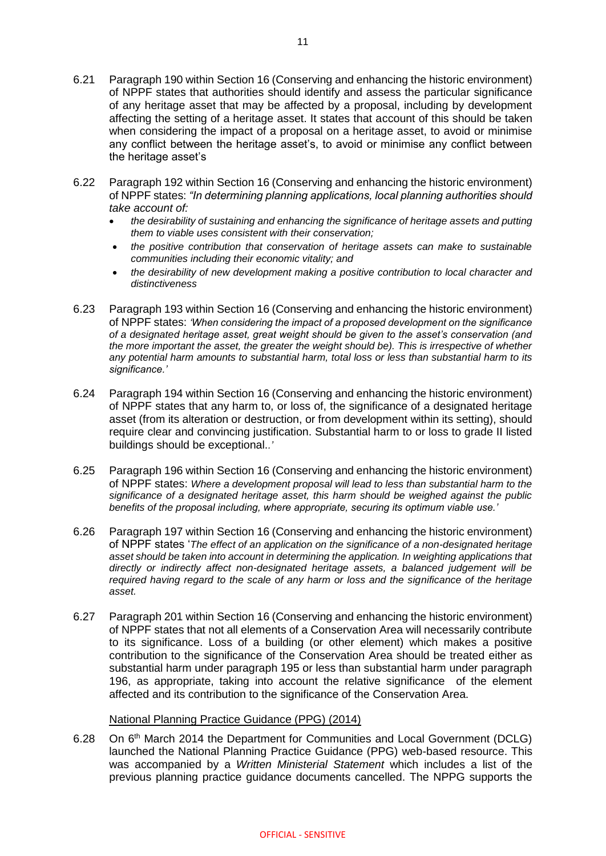- 6.21 Paragraph 190 within Section 16 (Conserving and enhancing the historic environment) of NPPF states that authorities should identify and assess the particular significance of any heritage asset that may be affected by a proposal, including by development affecting the setting of a heritage asset. It states that account of this should be taken when considering the impact of a proposal on a heritage asset, to avoid or minimise any conflict between the heritage asset's, to avoid or minimise any conflict between the heritage asset's
- 6.22 Paragraph 192 within Section 16 (Conserving and enhancing the historic environment) of NPPF states: *"In determining planning applications, local planning authorities should take account of:* 
	- *the desirability of sustaining and enhancing the significance of heritage assets and putting them to viable uses consistent with their conservation;*
	- *the positive contribution that conservation of heritage assets can make to sustainable communities including their economic vitality; and*
	- *the desirability of new development making a positive contribution to local character and distinctiveness*
- 6.23 Paragraph 193 within Section 16 (Conserving and enhancing the historic environment) of NPPF states: *'When considering the impact of a proposed development on the significance of a designated heritage asset, great weight should be given to the asset's conservation (and the more important the asset, the greater the weight should be). This is irrespective of whether any potential harm amounts to substantial harm, total loss or less than substantial harm to its significance.'*
- 6.24 Paragraph 194 within Section 16 (Conserving and enhancing the historic environment) of NPPF states that any harm to, or loss of, the significance of a designated heritage asset (from its alteration or destruction, or from development within its setting), should require clear and convincing justification. Substantial harm to or loss to grade II listed buildings should be exceptional.*.'*
- 6.25 Paragraph 196 within Section 16 (Conserving and enhancing the historic environment) of NPPF states: *Where a development proposal will lead to less than substantial harm to the significance of a designated heritage asset, this harm should be weighed against the public benefits of the proposal including, where appropriate, securing its optimum viable use.'*
- 6.26 Paragraph 197 within Section 16 (Conserving and enhancing the historic environment) of NPPF states '*The effect of an application on the significance of a non-designated heritage asset should be taken into account in determining the application. In weighting applications that directly or indirectly affect non-designated heritage assets, a balanced judgement will be required having regard to the scale of any harm or loss and the significance of the heritage asset.*
- 6.27 Paragraph 201 within Section 16 (Conserving and enhancing the historic environment) of NPPF states that not all elements of a Conservation Area will necessarily contribute to its significance. Loss of a building (or other element) which makes a positive contribution to the significance of the Conservation Area should be treated either as substantial harm under paragraph 195 or less than substantial harm under paragraph 196, as appropriate, taking into account the relative significance of the element affected and its contribution to the significance of the Conservation Area.

## National Planning Practice Guidance (PPG) (2014)

6.28 On 6th March 2014 the Department for Communities and Local Government (DCLG) launched the National Planning Practice Guidance (PPG) web-based resource. This was accompanied by a *Written Ministerial Statement* which includes a list of the previous planning practice guidance documents cancelled. The NPPG supports the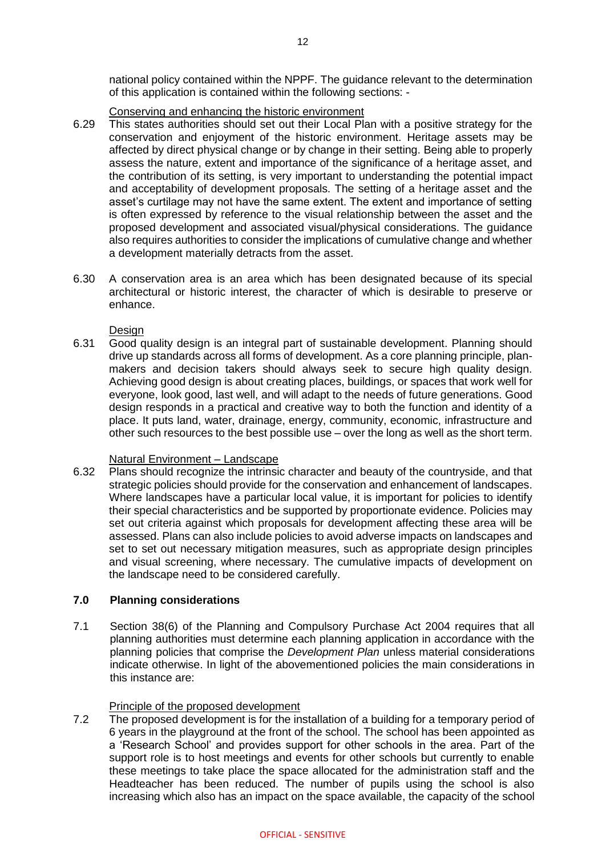national policy contained within the NPPF. The guidance relevant to the determination of this application is contained within the following sections: -

### Conserving and enhancing the historic environment

- 6.29 This states authorities should set out their Local Plan with a positive strategy for the conservation and enjoyment of the historic environment. Heritage assets may be affected by direct physical change or by change in their setting. Being able to properly assess the nature, extent and importance of the significance of a heritage asset, and the contribution of its setting, is very important to understanding the potential impact and acceptability of development proposals. The setting of a heritage asset and the asset's curtilage may not have the same extent. The extent and importance of setting is often expressed by reference to the visual relationship between the asset and the proposed development and associated visual/physical considerations. The guidance also requires authorities to consider the implications of cumulative change and whether a development materially detracts from the asset.
- 6.30 A conservation area is an area which has been designated because of its special architectural or historic interest, the character of which is desirable to preserve or enhance.

**Design** 

6.31 Good quality design is an integral part of sustainable development. Planning should drive up standards across all forms of development. As a core planning principle, planmakers and decision takers should always seek to secure high quality design. Achieving good design is about creating places, buildings, or spaces that work well for everyone, look good, last well, and will adapt to the needs of future generations. Good design responds in a practical and creative way to both the function and identity of a place. It puts land, water, drainage, energy, community, economic, infrastructure and other such resources to the best possible use – over the long as well as the short term.

## Natural Environment – Landscape

6.32 Plans should recognize the intrinsic character and beauty of the countryside, and that strategic policies should provide for the conservation and enhancement of landscapes. Where landscapes have a particular local value, it is important for policies to identify their special characteristics and be supported by proportionate evidence. Policies may set out criteria against which proposals for development affecting these area will be assessed. Plans can also include policies to avoid adverse impacts on landscapes and set to set out necessary mitigation measures, such as appropriate design principles and visual screening, where necessary. The cumulative impacts of development on the landscape need to be considered carefully.

## **7.0 Planning considerations**

7.1 Section 38(6) of the Planning and Compulsory Purchase Act 2004 requires that all planning authorities must determine each planning application in accordance with the planning policies that comprise the *Development Plan* unless material considerations indicate otherwise. In light of the abovementioned policies the main considerations in this instance are:

## Principle of the proposed development

7.2 The proposed development is for the installation of a building for a temporary period of 6 years in the playground at the front of the school. The school has been appointed as a 'Research School' and provides support for other schools in the area. Part of the support role is to host meetings and events for other schools but currently to enable these meetings to take place the space allocated for the administration staff and the Headteacher has been reduced. The number of pupils using the school is also increasing which also has an impact on the space available, the capacity of the school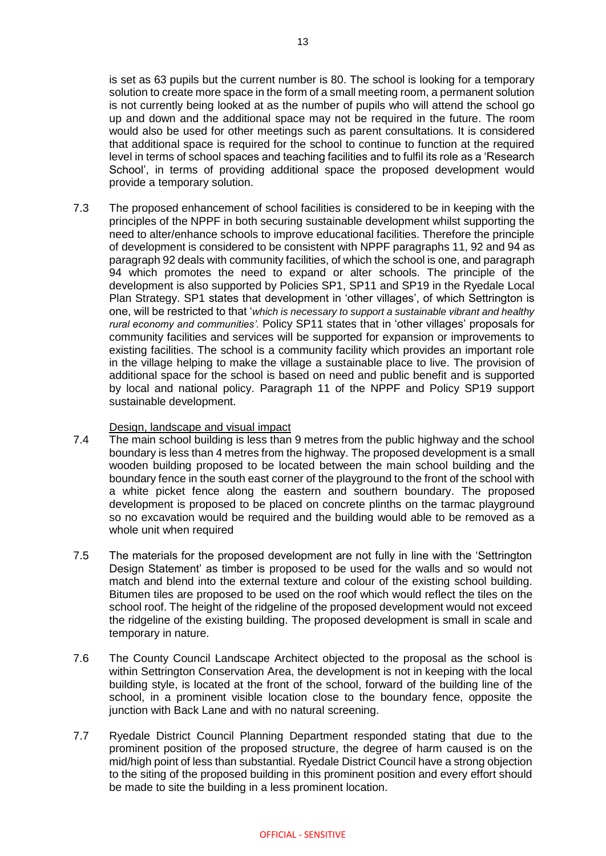is set as 63 pupils but the current number is 80. The school is looking for a temporary solution to create more space in the form of a small meeting room, a permanent solution is not currently being looked at as the number of pupils who will attend the school go up and down and the additional space may not be required in the future. The room would also be used for other meetings such as parent consultations. It is considered that additional space is required for the school to continue to function at the required level in terms of school spaces and teaching facilities and to fulfil its role as a 'Research School', in terms of providing additional space the proposed development would provide a temporary solution.

7.3 The proposed enhancement of school facilities is considered to be in keeping with the principles of the NPPF in both securing sustainable development whilst supporting the need to alter/enhance schools to improve educational facilities. Therefore the principle of development is considered to be consistent with NPPF paragraphs 11, 92 and 94 as paragraph 92 deals with community facilities, of which the school is one, and paragraph 94 which promotes the need to expand or alter schools. The principle of the development is also supported by Policies SP1, SP11 and SP19 in the Ryedale Local Plan Strategy. SP1 states that development in 'other villages', of which Settrington is one, will be restricted to that '*which is necessary to support a sustainable vibrant and healthy rural economy and communities'.* Policy SP11 states that in 'other villages' proposals for community facilities and services will be supported for expansion or improvements to existing facilities. The school is a community facility which provides an important role in the village helping to make the village a sustainable place to live. The provision of additional space for the school is based on need and public benefit and is supported by local and national policy. Paragraph 11 of the NPPF and Policy SP19 support sustainable development.

#### Design, landscape and visual impact

- 7.4 The main school building is less than 9 metres from the public highway and the school boundary is less than 4 metres from the highway. The proposed development is a small wooden building proposed to be located between the main school building and the boundary fence in the south east corner of the playground to the front of the school with a white picket fence along the eastern and southern boundary. The proposed development is proposed to be placed on concrete plinths on the tarmac playground so no excavation would be required and the building would able to be removed as a whole unit when required
- 7.5 The materials for the proposed development are not fully in line with the 'Settrington Design Statement' as timber is proposed to be used for the walls and so would not match and blend into the external texture and colour of the existing school building. Bitumen tiles are proposed to be used on the roof which would reflect the tiles on the school roof. The height of the ridgeline of the proposed development would not exceed the ridgeline of the existing building. The proposed development is small in scale and temporary in nature.
- 7.6 The County Council Landscape Architect objected to the proposal as the school is within Settrington Conservation Area, the development is not in keeping with the local building style, is located at the front of the school, forward of the building line of the school, in a prominent visible location close to the boundary fence, opposite the junction with Back Lane and with no natural screening.
- 7.7 Ryedale District Council Planning Department responded stating that due to the prominent position of the proposed structure, the degree of harm caused is on the mid/high point of less than substantial. Ryedale District Council have a strong objection to the siting of the proposed building in this prominent position and every effort should be made to site the building in a less prominent location.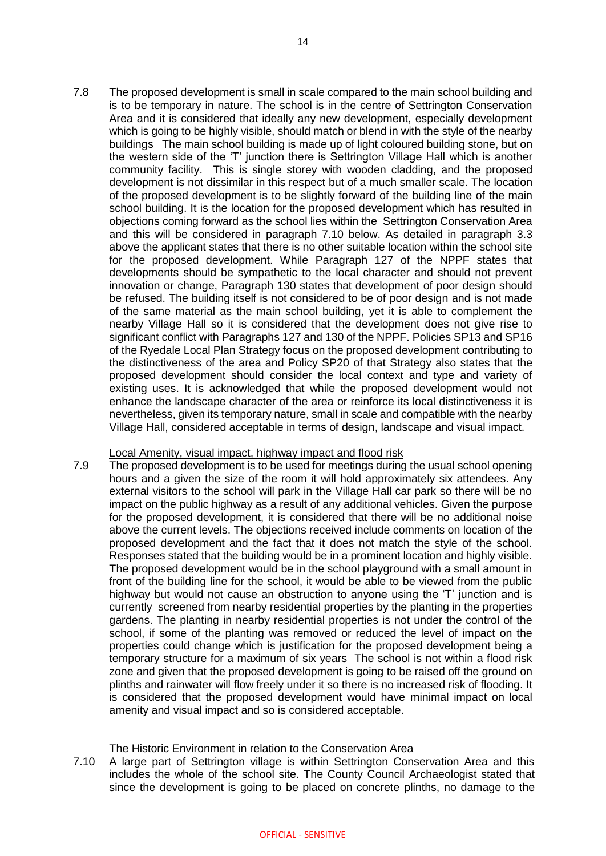7.8 The proposed development is small in scale compared to the main school building and is to be temporary in nature. The school is in the centre of Settrington Conservation Area and it is considered that ideally any new development, especially development which is going to be highly visible, should match or blend in with the style of the nearby buildings The main school building is made up of light coloured building stone, but on the western side of the 'T' junction there is Settrington Village Hall which is another community facility. This is single storey with wooden cladding, and the proposed development is not dissimilar in this respect but of a much smaller scale. The location of the proposed development is to be slightly forward of the building line of the main school building. It is the location for the proposed development which has resulted in objections coming forward as the school lies within the Settrington Conservation Area and this will be considered in paragraph 7.10 below. As detailed in paragraph 3.3 above the applicant states that there is no other suitable location within the school site for the proposed development. While Paragraph 127 of the NPPF states that developments should be sympathetic to the local character and should not prevent innovation or change, Paragraph 130 states that development of poor design should be refused. The building itself is not considered to be of poor design and is not made of the same material as the main school building, yet it is able to complement the nearby Village Hall so it is considered that the development does not give rise to significant conflict with Paragraphs 127 and 130 of the NPPF. Policies SP13 and SP16 of the Ryedale Local Plan Strategy focus on the proposed development contributing to the distinctiveness of the area and Policy SP20 of that Strategy also states that the proposed development should consider the local context and type and variety of existing uses. It is acknowledged that while the proposed development would not enhance the landscape character of the area or reinforce its local distinctiveness it is nevertheless, given its temporary nature, small in scale and compatible with the nearby Village Hall, considered acceptable in terms of design, landscape and visual impact.

## Local Amenity, visual impact, highway impact and flood risk

7.9 The proposed development is to be used for meetings during the usual school opening hours and a given the size of the room it will hold approximately six attendees. Any external visitors to the school will park in the Village Hall car park so there will be no impact on the public highway as a result of any additional vehicles. Given the purpose for the proposed development, it is considered that there will be no additional noise above the current levels. The objections received include comments on location of the proposed development and the fact that it does not match the style of the school. Responses stated that the building would be in a prominent location and highly visible. The proposed development would be in the school playground with a small amount in front of the building line for the school, it would be able to be viewed from the public highway but would not cause an obstruction to anyone using the 'T' junction and is currently screened from nearby residential properties by the planting in the properties gardens. The planting in nearby residential properties is not under the control of the school, if some of the planting was removed or reduced the level of impact on the properties could change which is justification for the proposed development being a temporary structure for a maximum of six years The school is not within a flood risk zone and given that the proposed development is going to be raised off the ground on plinths and rainwater will flow freely under it so there is no increased risk of flooding. It is considered that the proposed development would have minimal impact on local amenity and visual impact and so is considered acceptable.

## The Historic Environment in relation to the Conservation Area

7.10 A large part of Settrington village is within Settrington Conservation Area and this includes the whole of the school site. The County Council Archaeologist stated that since the development is going to be placed on concrete plinths, no damage to the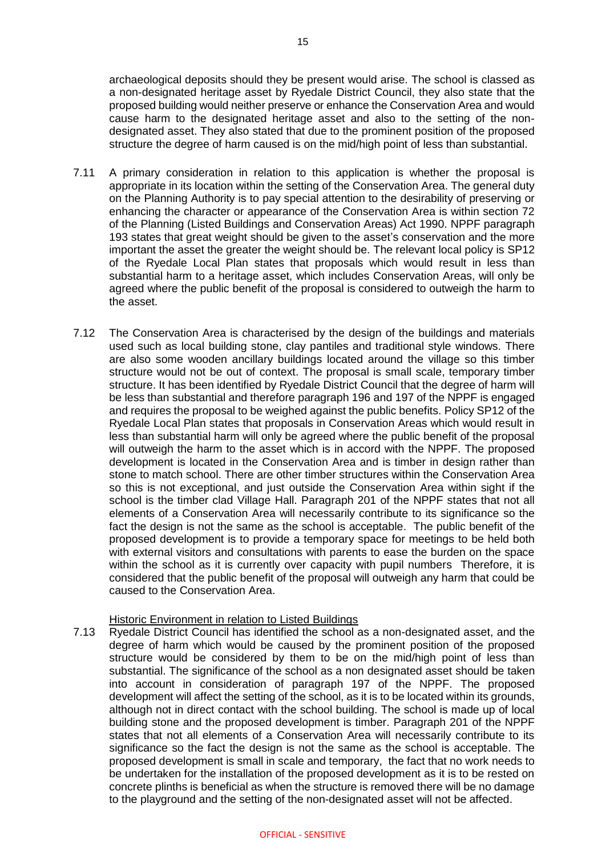archaeological deposits should they be present would arise. The school is classed as a non-designated heritage asset by Ryedale District Council, they also state that the proposed building would neither preserve or enhance the Conservation Area and would cause harm to the designated heritage asset and also to the setting of the nondesignated asset. They also stated that due to the prominent position of the proposed structure the degree of harm caused is on the mid/high point of less than substantial.

- 7.11 A primary consideration in relation to this application is whether the proposal is appropriate in its location within the setting of the Conservation Area. The general duty on the Planning Authority is to pay special attention to the desirability of preserving or enhancing the character or appearance of the Conservation Area is within section 72 of the Planning (Listed Buildings and Conservation Areas) Act 1990. NPPF paragraph 193 states that great weight should be given to the asset's conservation and the more important the asset the greater the weight should be. The relevant local policy is SP12 of the Ryedale Local Plan states that proposals which would result in less than substantial harm to a heritage asset, which includes Conservation Areas, will only be agreed where the public benefit of the proposal is considered to outweigh the harm to the asset.
- 7.12 The Conservation Area is characterised by the design of the buildings and materials used such as local building stone, clay pantiles and traditional style windows. There are also some wooden ancillary buildings located around the village so this timber structure would not be out of context. The proposal is small scale, temporary timber structure. It has been identified by Ryedale District Council that the degree of harm will be less than substantial and therefore paragraph 196 and 197 of the NPPF is engaged and requires the proposal to be weighed against the public benefits. Policy SP12 of the Ryedale Local Plan states that proposals in Conservation Areas which would result in less than substantial harm will only be agreed where the public benefit of the proposal will outweigh the harm to the asset which is in accord with the NPPF. The proposed development is located in the Conservation Area and is timber in design rather than stone to match school. There are other timber structures within the Conservation Area so this is not exceptional, and just outside the Conservation Area within sight if the school is the timber clad Village Hall. Paragraph 201 of the NPPF states that not all elements of a Conservation Area will necessarily contribute to its significance so the fact the design is not the same as the school is acceptable. The public benefit of the proposed development is to provide a temporary space for meetings to be held both with external visitors and consultations with parents to ease the burden on the space within the school as it is currently over capacity with pupil numbers Therefore, it is considered that the public benefit of the proposal will outweigh any harm that could be caused to the Conservation Area.

#### Historic Environment in relation to Listed Buildings

7.13 Ryedale District Council has identified the school as a non-designated asset, and the degree of harm which would be caused by the prominent position of the proposed structure would be considered by them to be on the mid/high point of less than substantial. The significance of the school as a non designated asset should be taken into account in consideration of paragraph 197 of the NPPF. The proposed development will affect the setting of the school, as it is to be located within its grounds, although not in direct contact with the school building. The school is made up of local building stone and the proposed development is timber. Paragraph 201 of the NPPF states that not all elements of a Conservation Area will necessarily contribute to its significance so the fact the design is not the same as the school is acceptable. The proposed development is small in scale and temporary, the fact that no work needs to be undertaken for the installation of the proposed development as it is to be rested on concrete plinths is beneficial as when the structure is removed there will be no damage to the playground and the setting of the non-designated asset will not be affected.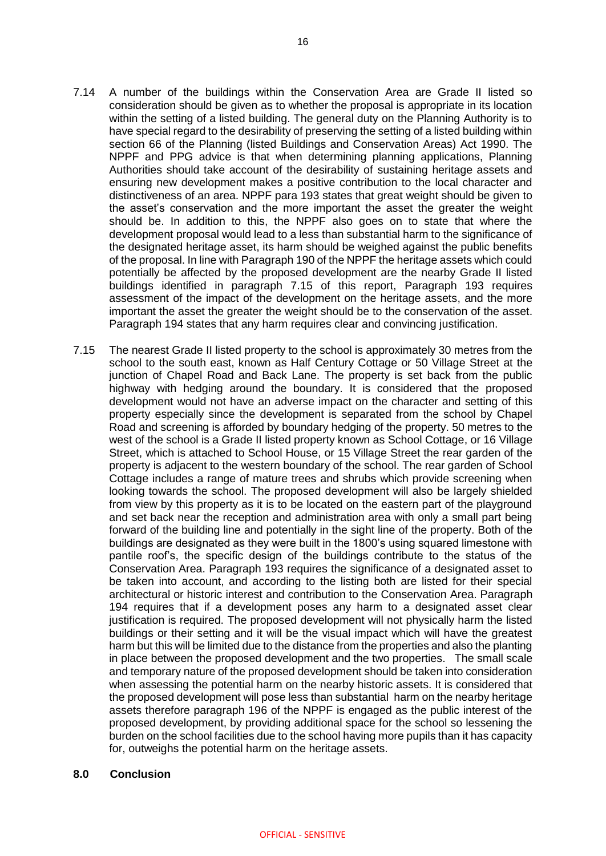- 7.14 A number of the buildings within the Conservation Area are Grade II listed so consideration should be given as to whether the proposal is appropriate in its location within the setting of a listed building. The general duty on the Planning Authority is to have special regard to the desirability of preserving the setting of a listed building within section 66 of the Planning (listed Buildings and Conservation Areas) Act 1990. The NPPF and PPG advice is that when determining planning applications, Planning Authorities should take account of the desirability of sustaining heritage assets and ensuring new development makes a positive contribution to the local character and distinctiveness of an area. NPPF para 193 states that great weight should be given to the asset's conservation and the more important the asset the greater the weight should be. In addition to this, the NPPF also goes on to state that where the development proposal would lead to a less than substantial harm to the significance of the designated heritage asset, its harm should be weighed against the public benefits of the proposal. In line with Paragraph 190 of the NPPF the heritage assets which could potentially be affected by the proposed development are the nearby Grade II listed buildings identified in paragraph 7.15 of this report, Paragraph 193 requires assessment of the impact of the development on the heritage assets, and the more important the asset the greater the weight should be to the conservation of the asset. Paragraph 194 states that any harm requires clear and convincing justification.
- 7.15 The nearest Grade II listed property to the school is approximately 30 metres from the school to the south east, known as Half Century Cottage or 50 Village Street at the junction of Chapel Road and Back Lane. The property is set back from the public highway with hedging around the boundary. It is considered that the proposed development would not have an adverse impact on the character and setting of this property especially since the development is separated from the school by Chapel Road and screening is afforded by boundary hedging of the property. 50 metres to the west of the school is a Grade II listed property known as School Cottage, or 16 Village Street, which is attached to School House, or 15 Village Street the rear garden of the property is adjacent to the western boundary of the school. The rear garden of School Cottage includes a range of mature trees and shrubs which provide screening when looking towards the school. The proposed development will also be largely shielded from view by this property as it is to be located on the eastern part of the playground and set back near the reception and administration area with only a small part being forward of the building line and potentially in the sight line of the property. Both of the buildings are designated as they were built in the 1800's using squared limestone with pantile roof's, the specific design of the buildings contribute to the status of the Conservation Area. Paragraph 193 requires the significance of a designated asset to be taken into account, and according to the listing both are listed for their special architectural or historic interest and contribution to the Conservation Area. Paragraph 194 requires that if a development poses any harm to a designated asset clear justification is required. The proposed development will not physically harm the listed buildings or their setting and it will be the visual impact which will have the greatest harm but this will be limited due to the distance from the properties and also the planting in place between the proposed development and the two properties. The small scale and temporary nature of the proposed development should be taken into consideration when assessing the potential harm on the nearby historic assets. It is considered that the proposed development will pose less than substantial harm on the nearby heritage assets therefore paragraph 196 of the NPPF is engaged as the public interest of the proposed development, by providing additional space for the school so lessening the burden on the school facilities due to the school having more pupils than it has capacity for, outweighs the potential harm on the heritage assets.

#### **8.0 Conclusion**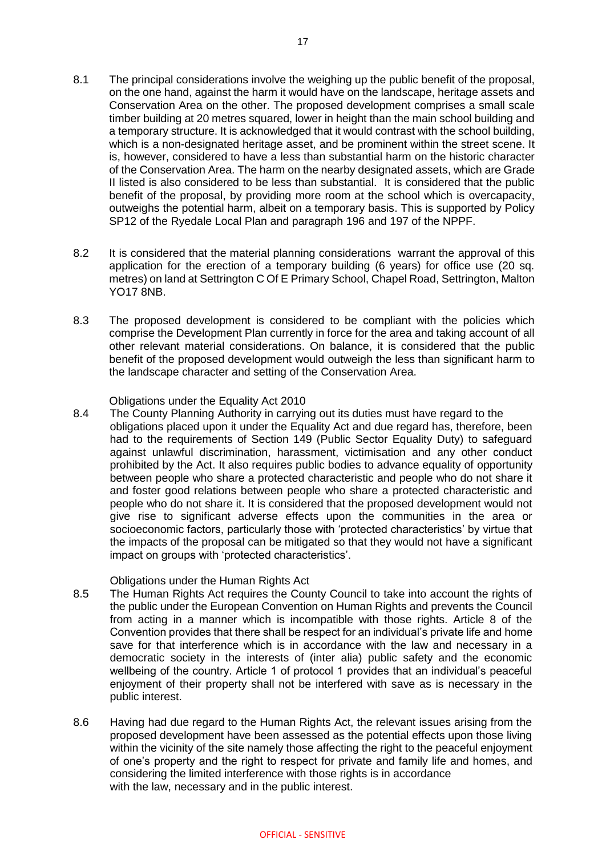- 8.1 The principal considerations involve the weighing up the public benefit of the proposal, on the one hand, against the harm it would have on the landscape, heritage assets and Conservation Area on the other. The proposed development comprises a small scale timber building at 20 metres squared, lower in height than the main school building and a temporary structure. It is acknowledged that it would contrast with the school building, which is a non-designated heritage asset, and be prominent within the street scene. It is, however, considered to have a less than substantial harm on the historic character of the Conservation Area. The harm on the nearby designated assets, which are Grade II listed is also considered to be less than substantial. It is considered that the public benefit of the proposal, by providing more room at the school which is overcapacity, outweighs the potential harm, albeit on a temporary basis. This is supported by Policy SP12 of the Ryedale Local Plan and paragraph 196 and 197 of the NPPF.
- 8.2 It is considered that the material planning considerations warrant the approval of this application for the erection of a temporary building (6 years) for office use (20 sq. metres) on land at Settrington C Of E Primary School, Chapel Road, Settrington, Malton YO17 8NB.
- 8.3 The proposed development is considered to be compliant with the policies which comprise the Development Plan currently in force for the area and taking account of all other relevant material considerations. On balance, it is considered that the public benefit of the proposed development would outweigh the less than significant harm to the landscape character and setting of the Conservation Area.

#### Obligations under the Equality Act 2010

8.4 The County Planning Authority in carrying out its duties must have regard to the obligations placed upon it under the Equality Act and due regard has, therefore, been had to the requirements of Section 149 (Public Sector Equality Duty) to safeguard against unlawful discrimination, harassment, victimisation and any other conduct prohibited by the Act. It also requires public bodies to advance equality of opportunity between people who share a protected characteristic and people who do not share it and foster good relations between people who share a protected characteristic and people who do not share it. It is considered that the proposed development would not give rise to significant adverse effects upon the communities in the area or socioeconomic factors, particularly those with 'protected characteristics' by virtue that the impacts of the proposal can be mitigated so that they would not have a significant impact on groups with 'protected characteristics'.

#### Obligations under the Human Rights Act

- 8.5 The Human Rights Act requires the County Council to take into account the rights of the public under the European Convention on Human Rights and prevents the Council from acting in a manner which is incompatible with those rights. Article 8 of the Convention provides that there shall be respect for an individual's private life and home save for that interference which is in accordance with the law and necessary in a democratic society in the interests of (inter alia) public safety and the economic wellbeing of the country. Article 1 of protocol 1 provides that an individual's peaceful enjoyment of their property shall not be interfered with save as is necessary in the public interest.
- 8.6 Having had due regard to the Human Rights Act, the relevant issues arising from the proposed development have been assessed as the potential effects upon those living within the vicinity of the site namely those affecting the right to the peaceful enjoyment of one's property and the right to respect for private and family life and homes, and considering the limited interference with those rights is in accordance with the law, necessary and in the public interest.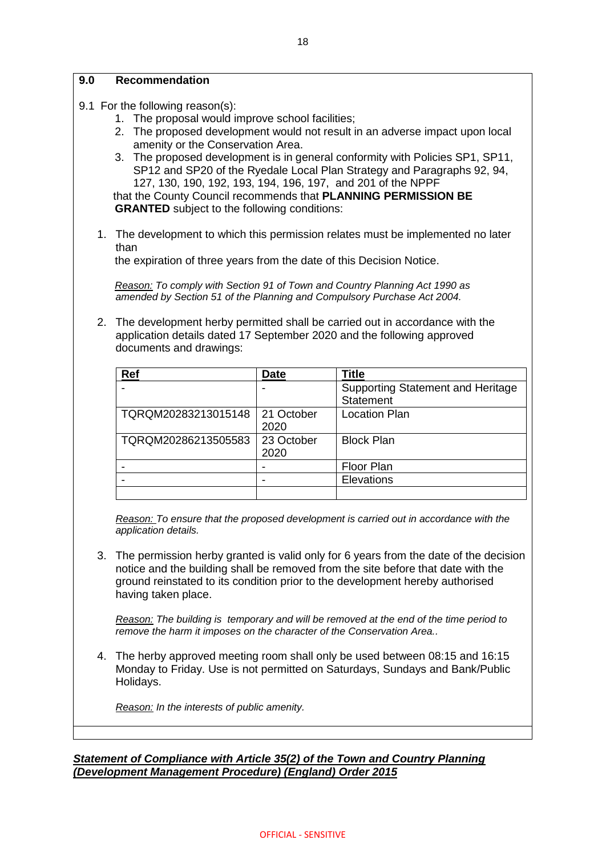### **9.0 Recommendation**

- 9.1 For the following reason(s):
	- 1. The proposal would improve school facilities;
	- 2. The proposed development would not result in an adverse impact upon local amenity or the Conservation Area.
	- 3. The proposed development is in general conformity with Policies SP1, SP11, SP12 and SP20 of the Ryedale Local Plan Strategy and Paragraphs 92, 94, 127, 130, 190, 192, 193, 194, 196, 197, and 201 of the NPPF

 that the County Council recommends that **PLANNING PERMISSION BE GRANTED** subject to the following conditions:

1. The development to which this permission relates must be implemented no later than

the expiration of three years from the date of this Decision Notice.

*Reason: To comply with Section 91 of Town and Country Planning Act 1990 as amended by Section 51 of the Planning and Compulsory Purchase Act 2004.*

2. The development herby permitted shall be carried out in accordance with the application details dated 17 September 2020 and the following approved documents and drawings:

| Ref                 | <b>Date</b> | <b>Title</b>                             |
|---------------------|-------------|------------------------------------------|
|                     |             | <b>Supporting Statement and Heritage</b> |
|                     |             | <b>Statement</b>                         |
| TQRQM20283213015148 | 21 October  | <b>Location Plan</b>                     |
|                     | 2020        |                                          |
| TQRQM20286213505583 | 23 October  | <b>Block Plan</b>                        |
|                     | 2020        |                                          |
|                     |             | <b>Floor Plan</b>                        |
|                     |             | Elevations                               |
|                     |             |                                          |

*Reason: To ensure that the proposed development is carried out in accordance with the application details.*

3. The permission herby granted is valid only for 6 years from the date of the decision notice and the building shall be removed from the site before that date with the ground reinstated to its condition prior to the development hereby authorised having taken place.

*Reason: The building is temporary and will be removed at the end of the time period to remove the harm it imposes on the character of the Conservation Area..*

4. The herby approved meeting room shall only be used between 08:15 and 16:15 Monday to Friday. Use is not permitted on Saturdays, Sundays and Bank/Public Holidays.

*Reason: In the interests of public amenity.*

*Statement of Compliance with Article 35(2) of the Town and Country Planning (Development Management Procedure) (England) Order 2015*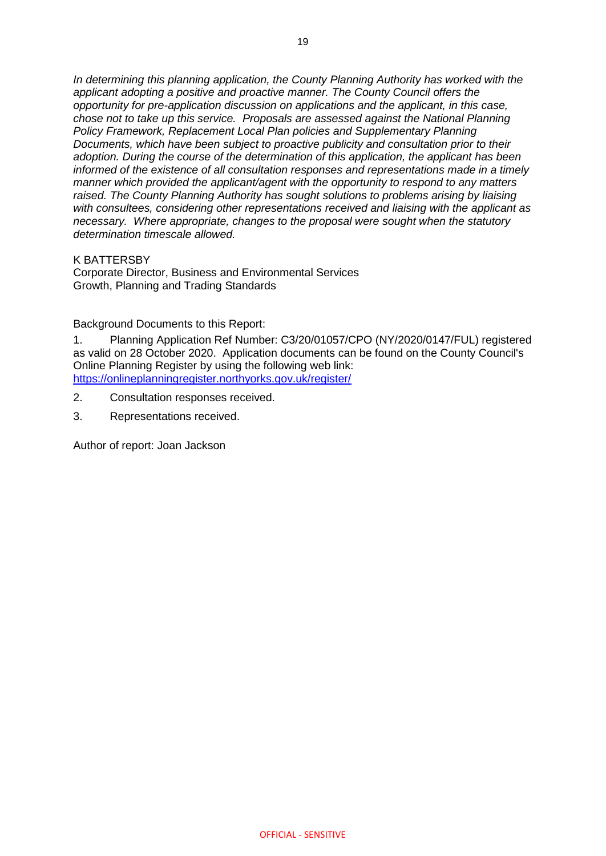*In determining this planning application, the County Planning Authority has worked with the applicant adopting a positive and proactive manner. The County Council offers the opportunity for pre-application discussion on applications and the applicant, in this case, chose not to take up this service. Proposals are assessed against the National Planning Policy Framework, Replacement Local Plan policies and Supplementary Planning Documents, which have been subject to proactive publicity and consultation prior to their adoption. During the course of the determination of this application, the applicant has been informed of the existence of all consultation responses and representations made in a timely manner which provided the applicant/agent with the opportunity to respond to any matters raised. The County Planning Authority has sought solutions to problems arising by liaising with consultees, considering other representations received and liaising with the applicant as necessary. Where appropriate, changes to the proposal were sought when the statutory determination timescale allowed.*

K BATTERSBY

Corporate Director, Business and Environmental Services Growth, Planning and Trading Standards

Background Documents to this Report:

1. Planning Application Ref Number: C3/20/01057/CPO (NY/2020/0147/FUL) registered as valid on 28 October 2020. Application documents can be found on the County Council's Online Planning Register by using the following web link: <https://onlineplanningregister.northyorks.gov.uk/register/>

- 2. Consultation responses received.
- 3. Representations received.

Author of report: Joan Jackson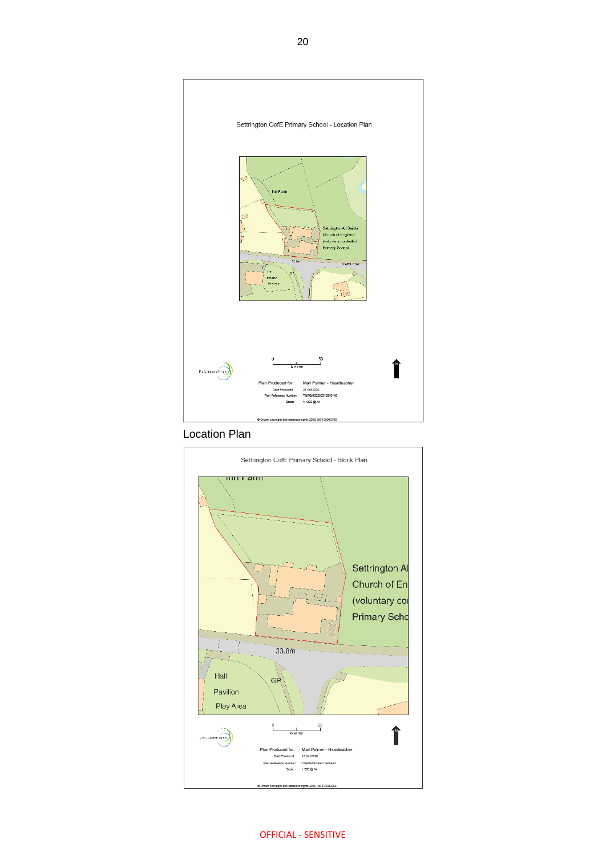

Location Plan



OFFICIAL - SENSITIVE